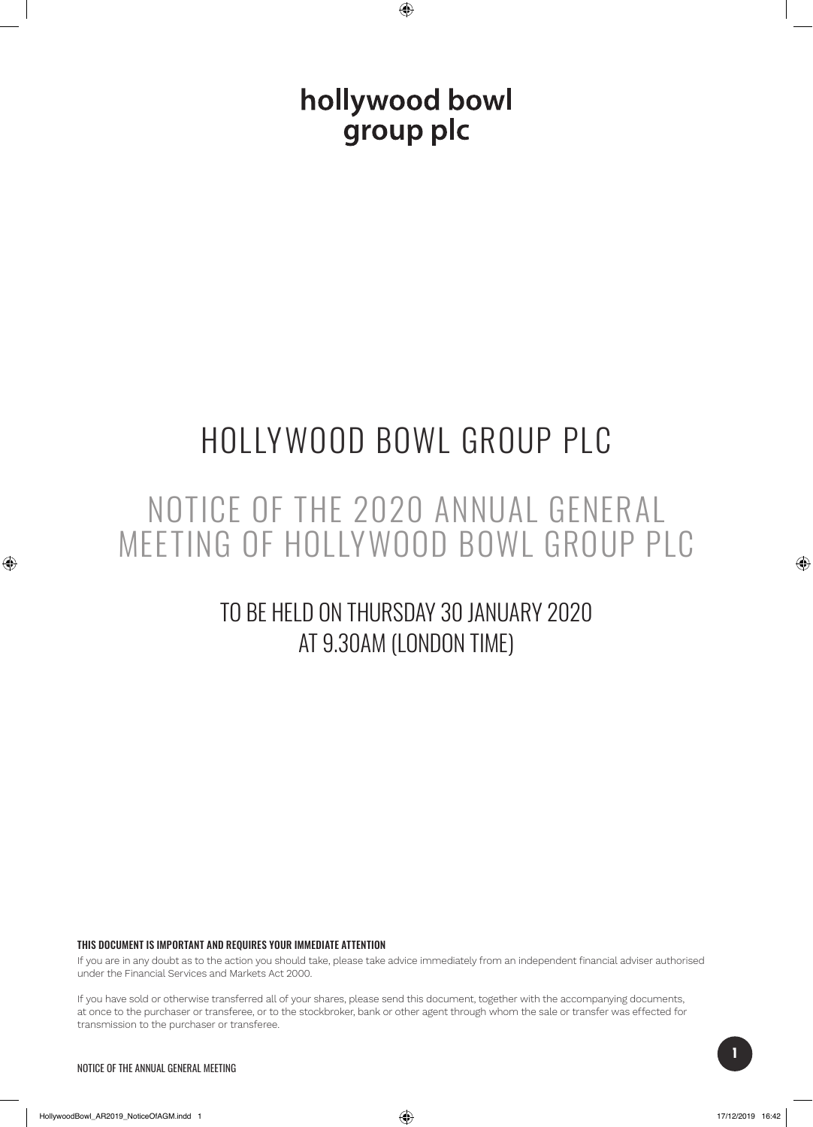hollywood bowl group plc

# HOLLYWOOD BOWL GROUP PLC

## NOTICE OF THE 2020 ANNUAL GENERAL MEETING OF HOLLYWOOD BOWL GROUP PLC

## TO BE HELD ON THURSDAY 30 JANUARY 2020 AT 9.30AM (LONDON TIME)

#### THIS DOCUMENT IS IMPORTANT AND REQUIRES YOUR IMMEDIATE ATTENTION

If you are in any doubt as to the action you should take, please take advice immediately from an independent financial adviser authorised under the Financial Services and Markets Act 2000.

If you have sold or otherwise transferred all of your shares, please send this document, together with the accompanying documents, at once to the purchaser or transferee, or to the stockbroker, bank or other agent through whom the sale or transfer was effected for transmission to the purchaser or transferee.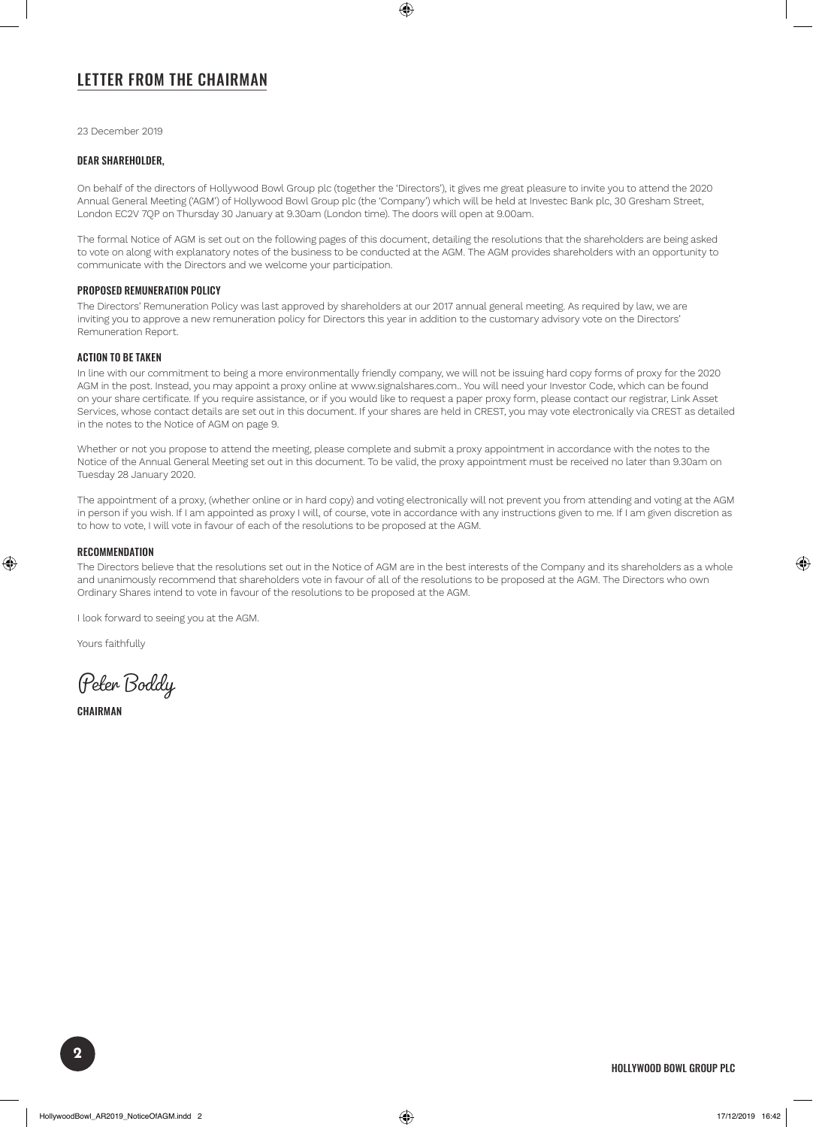## LETTER FROM THE CHAIRMAN

23 December 2019

#### DEAR SHAREHOLDER,

On behalf of the directors of Hollywood Bowl Group plc (together the 'Directors'), it gives me great pleasure to invite you to attend the 2020 Annual General Meeting ('AGM') of Hollywood Bowl Group plc (the 'Company') which will be held at Investec Bank plc, 30 Gresham Street, London EC2V 7QP on Thursday 30 January at 9.30am (London time). The doors will open at 9.00am.

The formal Notice of AGM is set out on the following pages of this document, detailing the resolutions that the shareholders are being asked to vote on along with explanatory notes of the business to be conducted at the AGM. The AGM provides shareholders with an opportunity to communicate with the Directors and we welcome your participation.

#### PROPOSED REMUNERATION POLICY

The Directors' Remuneration Policy was last approved by shareholders at our 2017 annual general meeting. As required by law, we are inviting you to approve a new remuneration policy for Directors this year in addition to the customary advisory vote on the Directors' Remuneration Report.

#### ACTION TO BE TAKEN

In line with our commitment to being a more environmentally friendly company, we will not be issuing hard copy forms of proxy for the 2020 AGM in the post. Instead, you may appoint a proxy online at www.signalshares.com.. You will need your Investor Code, which can be found on your share certificate. If you require assistance, or if you would like to request a paper proxy form, please contact our registrar, Link Asset Services, whose contact details are set out in this document. If your shares are held in CREST, you may vote electronically via CREST as detailed in the notes to the Notice of AGM on page 9.

Whether or not you propose to attend the meeting, please complete and submit a proxy appointment in accordance with the notes to the Notice of the Annual General Meeting set out in this document. To be valid, the proxy appointment must be received no later than 9.30am on Tuesday 28 January 2020.

The appointment of a proxy, (whether online or in hard copy) and voting electronically will not prevent you from attending and voting at the AGM in person if you wish. If I am appointed as proxy I will, of course, vote in accordance with any instructions given to me. If I am given discretion as to how to vote, I will vote in favour of each of the resolutions to be proposed at the AGM.

#### **RECOMMENDATION**

The Directors believe that the resolutions set out in the Notice of AGM are in the best interests of the Company and its shareholders as a whole and unanimously recommend that shareholders vote in favour of all of the resolutions to be proposed at the AGM. The Directors who own Ordinary Shares intend to vote in favour of the resolutions to be proposed at the AGM.

I look forward to seeing you at the AGM.

Yours faithfully

Peter Boddy

**CHAIRMAN**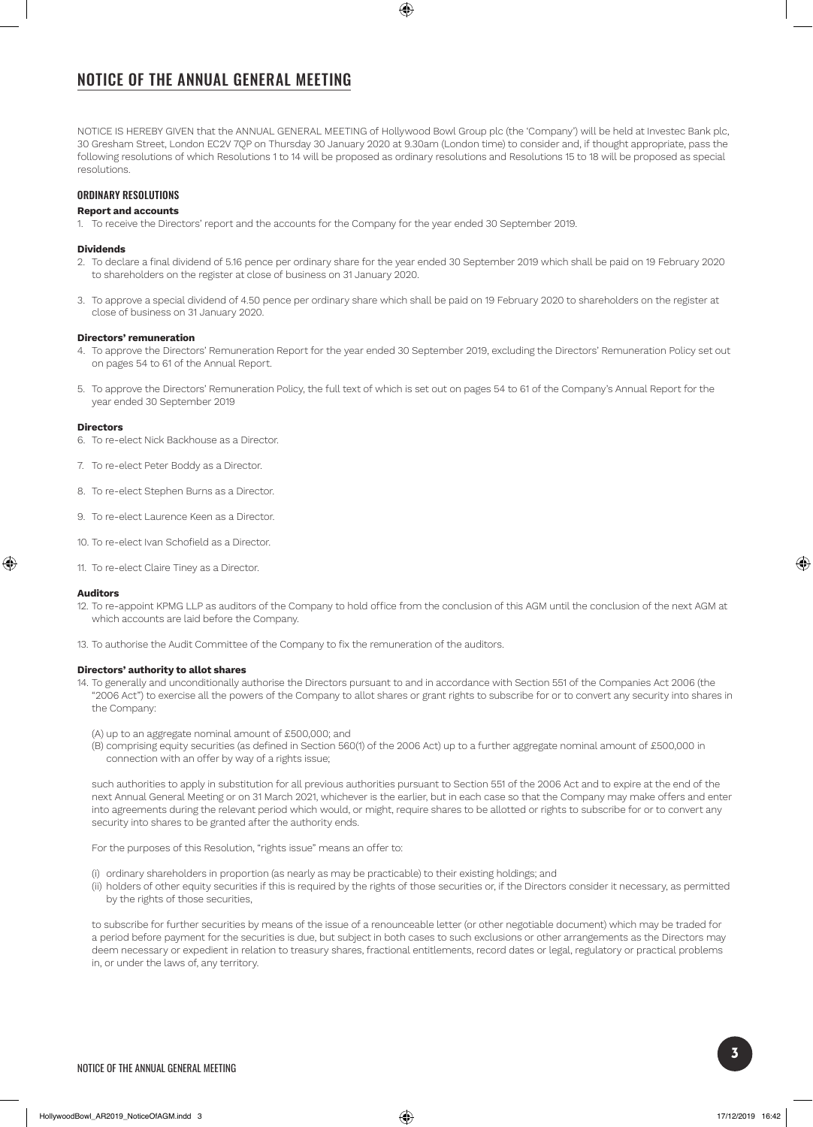## NOTICE OF THE ANNUAL GENERAL MEETING

NOTICE IS HEREBY GIVEN that the ANNUAL GENERAL MEETING of Hollywood Bowl Group plc (the 'Company') will be held at Investec Bank plc, 30 Gresham Street, London EC2V 7QP on Thursday 30 January 2020 at 9.30am (London time) to consider and, if thought appropriate, pass the following resolutions of which Resolutions 1 to 14 will be proposed as ordinary resolutions and Resolutions 15 to 18 will be proposed as special resolutions.

#### ORDINARY RESOLUTIONS

#### **Report and accounts**

1. To receive the Directors' report and the accounts for the Company for the year ended 30 September 2019.

#### **Dividends**

- 2. To declare a final dividend of 5.16 pence per ordinary share for the year ended 30 September 2019 which shall be paid on 19 February 2020 to shareholders on the register at close of business on 31 January 2020.
- 3. To approve a special dividend of 4.50 pence per ordinary share which shall be paid on 19 February 2020 to shareholders on the register at close of business on 31 January 2020.

#### **Directors' remuneration**

- 4. To approve the Directors' Remuneration Report for the year ended 30 September 2019, excluding the Directors' Remuneration Policy set out on pages 54 to 61 of the Annual Report.
- 5. To approve the Directors' Remuneration Policy, the full text of which is set out on pages 54 to 61 of the Company's Annual Report for the year ended 30 September 2019

#### **Directors**

- 6. To re-elect Nick Backhouse as a Director.
- 7. To re-elect Peter Boddy as a Director.
- 8. To re-elect Stephen Burns as a Director.
- 9. To re-elect Laurence Keen as a Director.
- 10. To re-elect Ivan Schofield as a Director.
- 11. To re-elect Claire Tiney as a Director.

#### **Auditors**

- 12. To re-appoint KPMG LLP as auditors of the Company to hold office from the conclusion of this AGM until the conclusion of the next AGM at which accounts are laid before the Company.
- 13. To authorise the Audit Committee of the Company to fix the remuneration of the auditors.

#### **Directors' authority to allot shares**

- 14. To generally and unconditionally authorise the Directors pursuant to and in accordance with Section 551 of the Companies Act 2006 (the "2006 Act") to exercise all the powers of the Company to allot shares or grant rights to subscribe for or to convert any security into shares in the Company:
	- (A) up to an aggregate nominal amount of £500,000; and
	- (B) comprising equity securities (as defined in Section 560(1) of the 2006 Act) up to a further aggregate nominal amount of £500,000 in connection with an offer by way of a rights issue;

such authorities to apply in substitution for all previous authorities pursuant to Section 551 of the 2006 Act and to expire at the end of the next Annual General Meeting or on 31 March 2021, whichever is the earlier, but in each case so that the Company may make offers and enter into agreements during the relevant period which would, or might, require shares to be allotted or rights to subscribe for or to convert any security into shares to be granted after the authority ends.

For the purposes of this Resolution, "rights issue" means an offer to:

- (i) ordinary shareholders in proportion (as nearly as may be practicable) to their existing holdings; and
- (ii) holders of other equity securities if this is required by the rights of those securities or, if the Directors consider it necessary, as permitted by the rights of those securities,

to subscribe for further securities by means of the issue of a renounceable letter (or other negotiable document) which may be traded for a period before payment for the securities is due, but subject in both cases to such exclusions or other arrangements as the Directors may deem necessary or expedient in relation to treasury shares, fractional entitlements, record dates or legal, regulatory or practical problems in, or under the laws of, any territory.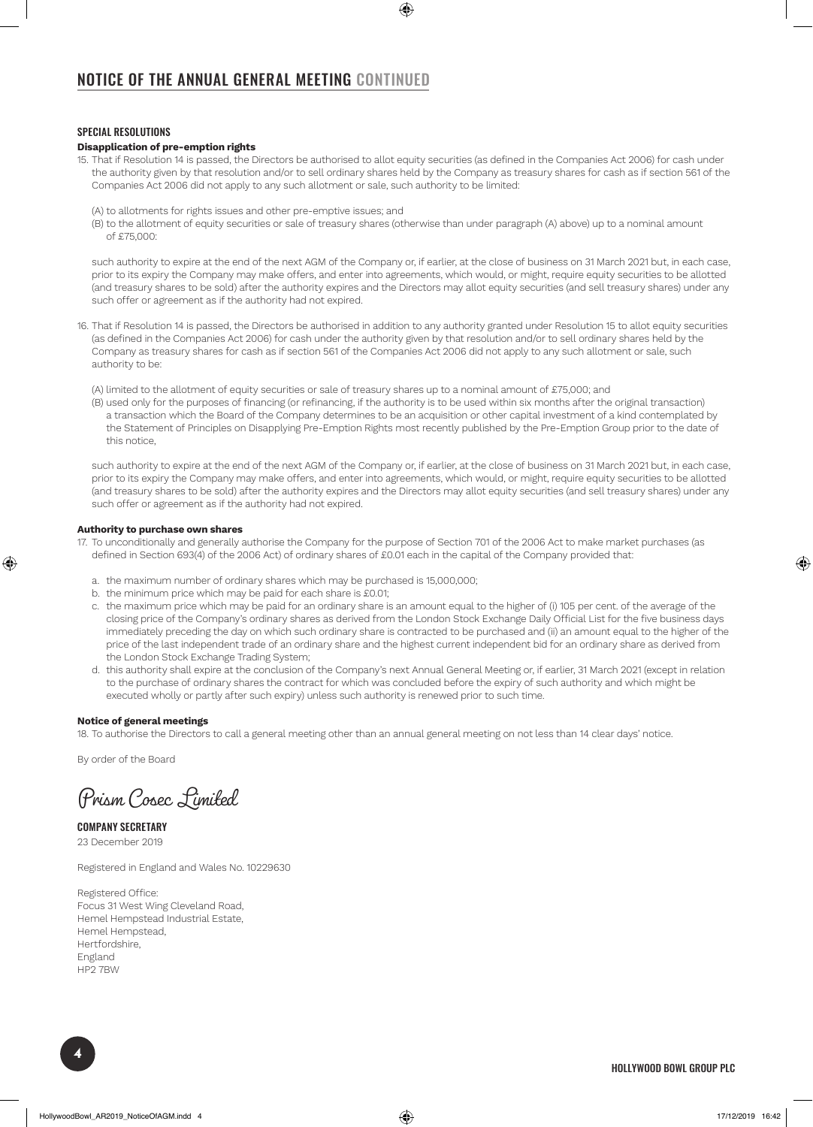## NOTICE OF THE ANNUAL GENERAL MEETING CONTINUED

#### SPECIAL RESOLUTIONS

#### **Disapplication of pre-emption rights**

- 15. That if Resolution 14 is passed, the Directors be authorised to allot equity securities (as defined in the Companies Act 2006) for cash under the authority given by that resolution and/or to sell ordinary shares held by the Company as treasury shares for cash as if section 561 of the Companies Act 2006 did not apply to any such allotment or sale, such authority to be limited:
	- (A) to allotments for rights issues and other pre-emptive issues; and
	- (B) to the allotment of equity securities or sale of treasury shares (otherwise than under paragraph (A) above) up to a nominal amount of £75,000:

such authority to expire at the end of the next AGM of the Company or, if earlier, at the close of business on 31 March 2021 but, in each case, prior to its expiry the Company may make offers, and enter into agreements, which would, or might, require equity securities to be allotted (and treasury shares to be sold) after the authority expires and the Directors may allot equity securities (and sell treasury shares) under any such offer or agreement as if the authority had not expired.

- 16. That if Resolution 14 is passed, the Directors be authorised in addition to any authority granted under Resolution 15 to allot equity securities (as defined in the Companies Act 2006) for cash under the authority given by that resolution and/or to sell ordinary shares held by the Company as treasury shares for cash as if section 561 of the Companies Act 2006 did not apply to any such allotment or sale, such authority to be:
	- (A) limited to the allotment of equity securities or sale of treasury shares up to a nominal amount of £75,000; and
	- (B) used only for the purposes of financing (or refinancing, if the authority is to be used within six months after the original transaction) a transaction which the Board of the Company determines to be an acquisition or other capital investment of a kind contemplated by the Statement of Principles on Disapplying Pre-Emption Rights most recently published by the Pre-Emption Group prior to the date of this notice,

such authority to expire at the end of the next AGM of the Company or, if earlier, at the close of business on 31 March 2021 but, in each case, prior to its expiry the Company may make offers, and enter into agreements, which would, or might, require equity securities to be allotted (and treasury shares to be sold) after the authority expires and the Directors may allot equity securities (and sell treasury shares) under any such offer or agreement as if the authority had not expired.

#### **Authority to purchase own shares**

- 17. To unconditionally and generally authorise the Company for the purpose of Section 701 of the 2006 Act to make market purchases (as defined in Section 693(4) of the 2006 Act) of ordinary shares of £0.01 each in the capital of the Company provided that:
	- a. the maximum number of ordinary shares which may be purchased is 15,000,000;
	- b. the minimum price which may be paid for each share is £0.01;
	- c. the maximum price which may be paid for an ordinary share is an amount equal to the higher of (i) 105 per cent. of the average of the closing price of the Company's ordinary shares as derived from the London Stock Exchange Daily Official List for the five business days immediately preceding the day on which such ordinary share is contracted to be purchased and (ii) an amount equal to the higher of the price of the last independent trade of an ordinary share and the highest current independent bid for an ordinary share as derived from the London Stock Exchange Trading System;
	- d. this authority shall expire at the conclusion of the Company's next Annual General Meeting or, if earlier, 31 March 2021 (except in relation to the purchase of ordinary shares the contract for which was concluded before the expiry of such authority and which might be executed wholly or partly after such expiry) unless such authority is renewed prior to such time.

#### **Notice of general meetings**

18. To authorise the Directors to call a general meeting other than an annual general meeting on not less than 14 clear days' notice.

By order of the Board

Prism Cosec Limited

COMPANY SECRETARY 23 December 2019

Registered in England and Wales No. 10229630

Registered Office: Focus 31 West Wing Cleveland Road, Hemel Hempstead Industrial Estate, Hemel Hempstead, Hertfordshire, England HP2 7BW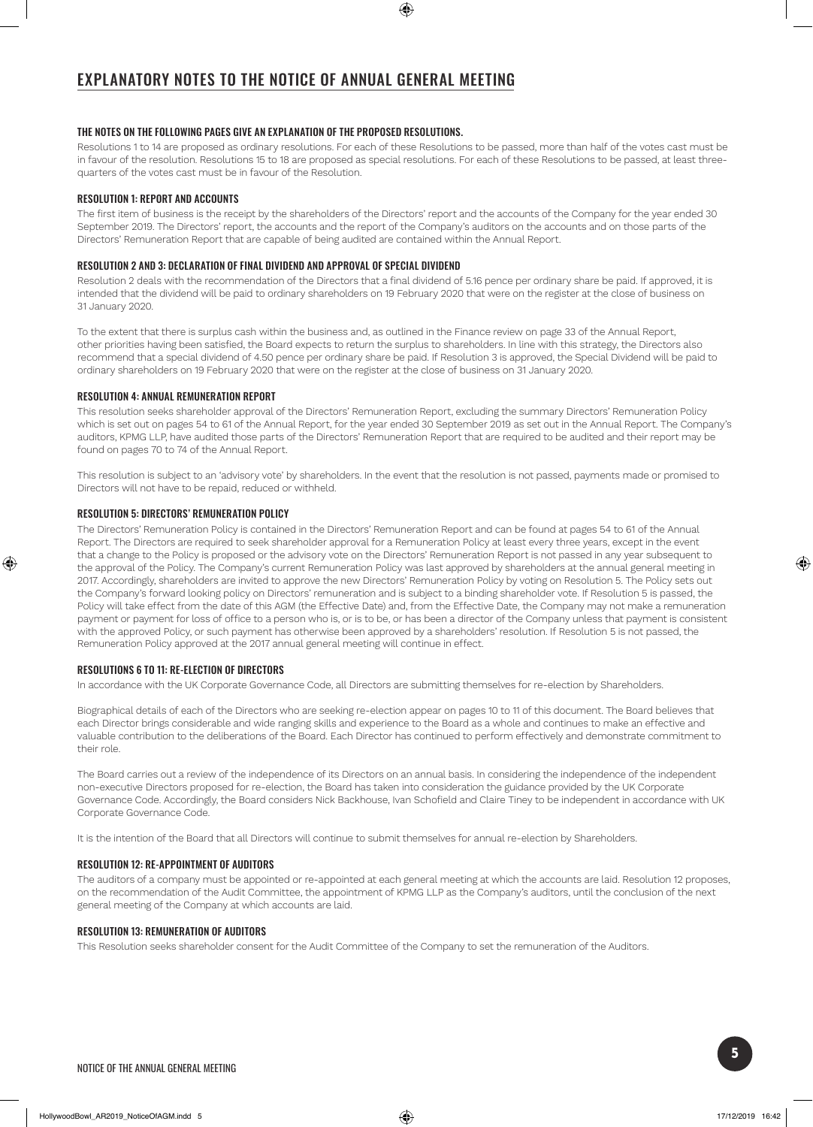#### THE NOTES ON THE FOLLOWING PAGES GIVE AN EXPLANATION OF THE PROPOSED RESOLUTIONS.

Resolutions 1 to 14 are proposed as ordinary resolutions. For each of these Resolutions to be passed, more than half of the votes cast must be in favour of the resolution. Resolutions 15 to 18 are proposed as special resolutions. For each of these Resolutions to be passed, at least threequarters of the votes cast must be in favour of the Resolution.

#### RESOLUTION 1: REPORT AND ACCOUNTS

The first item of business is the receipt by the shareholders of the Directors' report and the accounts of the Company for the year ended 30 September 2019. The Directors' report, the accounts and the report of the Company's auditors on the accounts and on those parts of the Directors' Remuneration Report that are capable of being audited are contained within the Annual Report.

#### RESOLUTION 2 AND 3: DECLARATION OF FINAL DIVIDEND AND APPROVAL OF SPECIAL DIVIDEND

Resolution 2 deals with the recommendation of the Directors that a final dividend of 5.16 pence per ordinary share be paid. If approved, it is intended that the dividend will be paid to ordinary shareholders on 19 February 2020 that were on the register at the close of business on 31 January 2020.

To the extent that there is surplus cash within the business and, as outlined in the Finance review on page 33 of the Annual Report, other priorities having been satisfied, the Board expects to return the surplus to shareholders. In line with this strategy, the Directors also recommend that a special dividend of 4.50 pence per ordinary share be paid. If Resolution 3 is approved, the Special Dividend will be paid to ordinary shareholders on 19 February 2020 that were on the register at the close of business on 31 January 2020.

#### RESOLUTION 4: ANNUAL REMUNERATION REPORT

This resolution seeks shareholder approval of the Directors' Remuneration Report, excluding the summary Directors' Remuneration Policy which is set out on pages 54 to 61 of the Annual Report, for the year ended 30 September 2019 as set out in the Annual Report. The Company's auditors, KPMG LLP, have audited those parts of the Directors' Remuneration Report that are required to be audited and their report may be found on pages 70 to 74 of the Annual Report.

This resolution is subject to an 'advisory vote' by shareholders. In the event that the resolution is not passed, payments made or promised to Directors will not have to be repaid, reduced or withheld.

#### RESOLUTION 5: DIRECTORS' REMUNERATION POLICY

The Directors' Remuneration Policy is contained in the Directors' Remuneration Report and can be found at pages 54 to 61 of the Annual Report. The Directors are required to seek shareholder approval for a Remuneration Policy at least every three years, except in the event that a change to the Policy is proposed or the advisory vote on the Directors' Remuneration Report is not passed in any year subsequent to the approval of the Policy. The Company's current Remuneration Policy was last approved by shareholders at the annual general meeting in 2017. Accordingly, shareholders are invited to approve the new Directors' Remuneration Policy by voting on Resolution 5. The Policy sets out the Company's forward looking policy on Directors' remuneration and is subject to a binding shareholder vote. If Resolution 5 is passed, the Policy will take effect from the date of this AGM (the Effective Date) and, from the Effective Date, the Company may not make a remuneration payment or payment for loss of office to a person who is, or is to be, or has been a director of the Company unless that payment is consistent with the approved Policy, or such payment has otherwise been approved by a shareholders' resolution. If Resolution 5 is not passed, the Remuneration Policy approved at the 2017 annual general meeting will continue in effect.

#### RESOLUTIONS 6 TO 11: RE-ELECTION OF DIRECTORS

In accordance with the UK Corporate Governance Code, all Directors are submitting themselves for re-election by Shareholders.

Biographical details of each of the Directors who are seeking re-election appear on pages 10 to 11 of this document. The Board believes that each Director brings considerable and wide ranging skills and experience to the Board as a whole and continues to make an effective and valuable contribution to the deliberations of the Board. Each Director has continued to perform effectively and demonstrate commitment to their role.

The Board carries out a review of the independence of its Directors on an annual basis. In considering the independence of the independent non-executive Directors proposed for re-election, the Board has taken into consideration the guidance provided by the UK Corporate Governance Code. Accordingly, the Board considers Nick Backhouse, Ivan Schofield and Claire Tiney to be independent in accordance with UK Corporate Governance Code.

It is the intention of the Board that all Directors will continue to submit themselves for annual re-election by Shareholders.

#### RESOLUTION 12: RE-APPOINTMENT OF AUDITORS

The auditors of a company must be appointed or re-appointed at each general meeting at which the accounts are laid. Resolution 12 proposes, on the recommendation of the Audit Committee, the appointment of KPMG LLP as the Company's auditors, until the conclusion of the next general meeting of the Company at which accounts are laid.

#### RESOLUTION 13: REMUNERATION OF AUDITORS

This Resolution seeks shareholder consent for the Audit Committee of the Company to set the remuneration of the Auditors.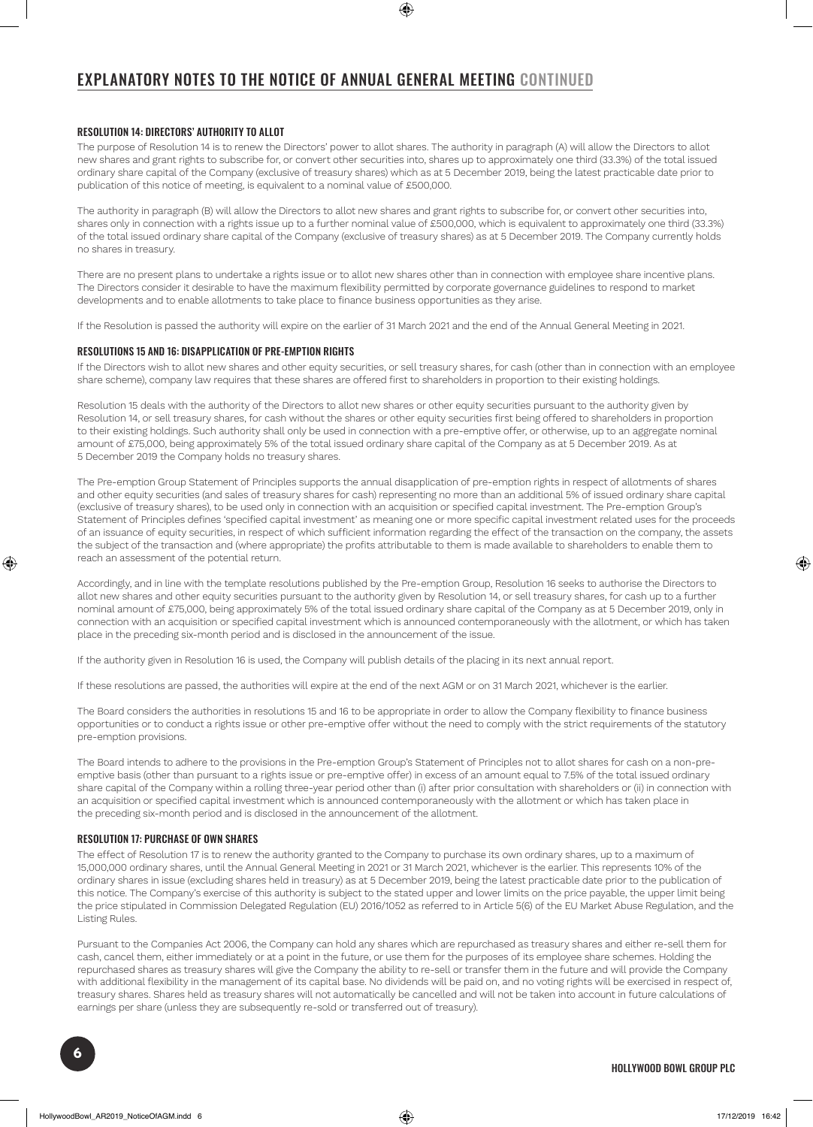## EXPLANATORY NOTES TO THE NOTICE OF ANNUAL GENERAL MEETING CONTINUED

#### RESOLUTION 14: DIRECTORS' AUTHORITY TO ALLOT

The purpose of Resolution 14 is to renew the Directors' power to allot shares. The authority in paragraph (A) will allow the Directors to allot new shares and grant rights to subscribe for, or convert other securities into, shares up to approximately one third (33.3%) of the total issued ordinary share capital of the Company (exclusive of treasury shares) which as at 5 December 2019, being the latest practicable date prior to publication of this notice of meeting, is equivalent to a nominal value of £500,000.

The authority in paragraph (B) will allow the Directors to allot new shares and grant rights to subscribe for, or convert other securities into, shares only in connection with a rights issue up to a further nominal value of £500,000, which is equivalent to approximately one third (33.3%) of the total issued ordinary share capital of the Company (exclusive of treasury shares) as at 5 December 2019. The Company currently holds no shares in treasury.

There are no present plans to undertake a rights issue or to allot new shares other than in connection with employee share incentive plans. The Directors consider it desirable to have the maximum flexibility permitted by corporate governance guidelines to respond to market developments and to enable allotments to take place to finance business opportunities as they arise.

If the Resolution is passed the authority will expire on the earlier of 31 March 2021 and the end of the Annual General Meeting in 2021.

#### RESOLUTIONS 15 AND 16: DISAPPLICATION OF PRE-EMPTION RIGHTS

If the Directors wish to allot new shares and other equity securities, or sell treasury shares, for cash (other than in connection with an employee share scheme), company law requires that these shares are offered first to shareholders in proportion to their existing holdings.

Resolution 15 deals with the authority of the Directors to allot new shares or other equity securities pursuant to the authority given by Resolution 14, or sell treasury shares, for cash without the shares or other equity securities first being offered to shareholders in proportion to their existing holdings. Such authority shall only be used in connection with a pre-emptive offer, or otherwise, up to an aggregate nominal amount of £75,000, being approximately 5% of the total issued ordinary share capital of the Company as at 5 December 2019. As at 5 December 2019 the Company holds no treasury shares.

The Pre-emption Group Statement of Principles supports the annual disapplication of pre-emption rights in respect of allotments of shares and other equity securities (and sales of treasury shares for cash) representing no more than an additional 5% of issued ordinary share capital (exclusive of treasury shares), to be used only in connection with an acquisition or specified capital investment. The Pre-emption Group's Statement of Principles defines 'specified capital investment' as meaning one or more specific capital investment related uses for the proceeds of an issuance of equity securities, in respect of which sufficient information regarding the effect of the transaction on the company, the assets the subject of the transaction and (where appropriate) the profits attributable to them is made available to shareholders to enable them to reach an assessment of the potential return.

Accordingly, and in line with the template resolutions published by the Pre-emption Group, Resolution 16 seeks to authorise the Directors to allot new shares and other equity securities pursuant to the authority given by Resolution 14, or sell treasury shares, for cash up to a further nominal amount of £75,000, being approximately 5% of the total issued ordinary share capital of the Company as at 5 December 2019, only in connection with an acquisition or specified capital investment which is announced contemporaneously with the allotment, or which has taken place in the preceding six-month period and is disclosed in the announcement of the issue.

If the authority given in Resolution 16 is used, the Company will publish details of the placing in its next annual report.

If these resolutions are passed, the authorities will expire at the end of the next AGM or on 31 March 2021, whichever is the earlier.

The Board considers the authorities in resolutions 15 and 16 to be appropriate in order to allow the Company flexibility to finance business opportunities or to conduct a rights issue or other pre-emptive offer without the need to comply with the strict requirements of the statutory pre-emption provisions.

The Board intends to adhere to the provisions in the Pre-emption Group's Statement of Principles not to allot shares for cash on a non-preemptive basis (other than pursuant to a rights issue or pre-emptive offer) in excess of an amount equal to 7.5% of the total issued ordinary share capital of the Company within a rolling three-year period other than (i) after prior consultation with shareholders or (ii) in connection with an acquisition or specified capital investment which is announced contemporaneously with the allotment or which has taken place in the preceding six-month period and is disclosed in the announcement of the allotment.

#### RESOLUTION 17: PURCHASE OF OWN SHARES

The effect of Resolution 17 is to renew the authority granted to the Company to purchase its own ordinary shares, up to a maximum of 15,000,000 ordinary shares, until the Annual General Meeting in 2021 or 31 March 2021, whichever is the earlier. This represents 10% of the ordinary shares in issue (excluding shares held in treasury) as at 5 December 2019, being the latest practicable date prior to the publication of this notice. The Company's exercise of this authority is subject to the stated upper and lower limits on the price payable, the upper limit being the price stipulated in Commission Delegated Regulation (EU) 2016/1052 as referred to in Article 5(6) of the EU Market Abuse Regulation, and the Listing Rules.

Pursuant to the Companies Act 2006, the Company can hold any shares which are repurchased as treasury shares and either re-sell them for cash, cancel them, either immediately or at a point in the future, or use them for the purposes of its employee share schemes. Holding the repurchased shares as treasury shares will give the Company the ability to re-sell or transfer them in the future and will provide the Company with additional flexibility in the management of its capital base. No dividends will be paid on, and no voting rights will be exercised in respect of, treasury shares. Shares held as treasury shares will not automatically be cancelled and will not be taken into account in future calculations of earnings per share (unless they are subsequently re-sold or transferred out of treasury).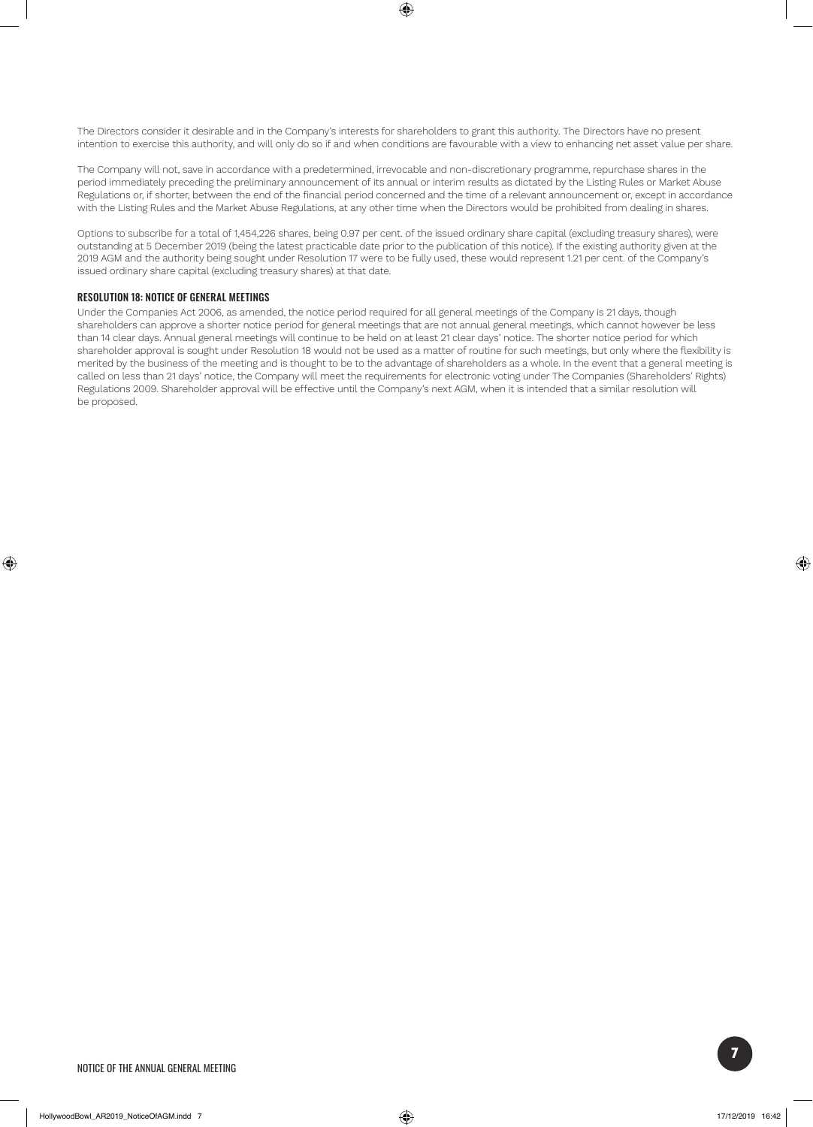The Directors consider it desirable and in the Company's interests for shareholders to grant this authority. The Directors have no present intention to exercise this authority, and will only do so if and when conditions are favourable with a view to enhancing net asset value per share.

The Company will not, save in accordance with a predetermined, irrevocable and non-discretionary programme, repurchase shares in the period immediately preceding the preliminary announcement of its annual or interim results as dictated by the Listing Rules or Market Abuse Regulations or, if shorter, between the end of the financial period concerned and the time of a relevant announcement or, except in accordance with the Listing Rules and the Market Abuse Regulations, at any other time when the Directors would be prohibited from dealing in shares.

Options to subscribe for a total of 1,454,226 shares, being 0.97 per cent. of the issued ordinary share capital (excluding treasury shares), were outstanding at 5 December 2019 (being the latest practicable date prior to the publication of this notice). If the existing authority given at the 2019 AGM and the authority being sought under Resolution 17 were to be fully used, these would represent 1.21 per cent. of the Company's issued ordinary share capital (excluding treasury shares) at that date.

#### RESOLUTION 18: NOTICE OF GENERAL MEETINGS

Under the Companies Act 2006, as amended, the notice period required for all general meetings of the Company is 21 days, though shareholders can approve a shorter notice period for general meetings that are not annual general meetings, which cannot however be less than 14 clear days. Annual general meetings will continue to be held on at least 21 clear days' notice. The shorter notice period for which shareholder approval is sought under Resolution 18 would not be used as a matter of routine for such meetings, but only where the flexibility is merited by the business of the meeting and is thought to be to the advantage of shareholders as a whole. In the event that a general meeting is called on less than 21 days' notice, the Company will meet the requirements for electronic voting under The Companies (Shareholders' Rights) Regulations 2009. Shareholder approval will be effective until the Company's next AGM, when it is intended that a similar resolution will be proposed.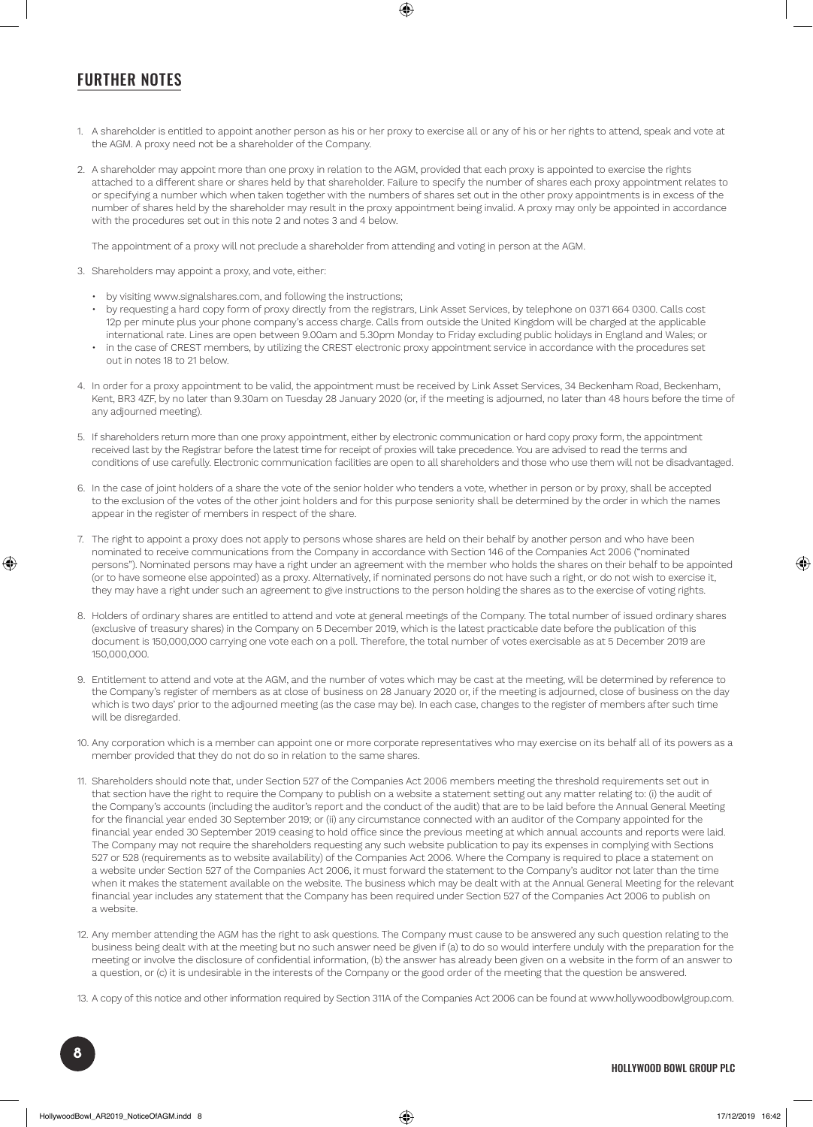## FURTHER NOTES

- 1. A shareholder is entitled to appoint another person as his or her proxy to exercise all or any of his or her rights to attend, speak and vote at the AGM. A proxy need not be a shareholder of the Company.
- 2. A shareholder may appoint more than one proxy in relation to the AGM, provided that each proxy is appointed to exercise the rights attached to a different share or shares held by that shareholder. Failure to specify the number of shares each proxy appointment relates to or specifying a number which when taken together with the numbers of shares set out in the other proxy appointments is in excess of the number of shares held by the shareholder may result in the proxy appointment being invalid. A proxy may only be appointed in accordance with the procedures set out in this note 2 and notes 3 and 4 below.

The appointment of a proxy will not preclude a shareholder from attending and voting in person at the AGM.

- 3. Shareholders may appoint a proxy, and vote, either:
	- by visiting www.signalshares.com, and following the instructions;
	- by requesting a hard copy form of proxy directly from the registrars, Link Asset Services, by telephone on 0371 664 0300. Calls cost 12p per minute plus your phone company's access charge. Calls from outside the United Kingdom will be charged at the applicable international rate. Lines are open between 9.00am and 5.30pm Monday to Friday excluding public holidays in England and Wales; or
	- in the case of CREST members, by utilizing the CREST electronic proxy appointment service in accordance with the procedures set out in notes 18 to 21 below.
- 4. In order for a proxy appointment to be valid, the appointment must be received by Link Asset Services, 34 Beckenham Road, Beckenham, Kent, BR3 4ZF, by no later than 9.30am on Tuesday 28 January 2020 (or, if the meeting is adjourned, no later than 48 hours before the time of any adjourned meeting).
- 5. If shareholders return more than one proxy appointment, either by electronic communication or hard copy proxy form, the appointment received last by the Registrar before the latest time for receipt of proxies will take precedence. You are advised to read the terms and conditions of use carefully. Electronic communication facilities are open to all shareholders and those who use them will not be disadvantaged.
- 6. In the case of joint holders of a share the vote of the senior holder who tenders a vote, whether in person or by proxy, shall be accepted to the exclusion of the votes of the other joint holders and for this purpose seniority shall be determined by the order in which the names appear in the register of members in respect of the share.
- 7. The right to appoint a proxy does not apply to persons whose shares are held on their behalf by another person and who have been nominated to receive communications from the Company in accordance with Section 146 of the Companies Act 2006 ("nominated persons"). Nominated persons may have a right under an agreement with the member who holds the shares on their behalf to be appointed (or to have someone else appointed) as a proxy. Alternatively, if nominated persons do not have such a right, or do not wish to exercise it, they may have a right under such an agreement to give instructions to the person holding the shares as to the exercise of voting rights.
- 8. Holders of ordinary shares are entitled to attend and vote at general meetings of the Company. The total number of issued ordinary shares (exclusive of treasury shares) in the Company on 5 December 2019, which is the latest practicable date before the publication of this document is 150,000,000 carrying one vote each on a poll. Therefore, the total number of votes exercisable as at 5 December 2019 are 150,000,000.
- 9. Entitlement to attend and vote at the AGM, and the number of votes which may be cast at the meeting, will be determined by reference to the Company's register of members as at close of business on 28 January 2020 or, if the meeting is adjourned, close of business on the day which is two days' prior to the adjourned meeting (as the case may be). In each case, changes to the register of members after such time will be disregarded.
- 10. Any corporation which is a member can appoint one or more corporate representatives who may exercise on its behalf all of its powers as a member provided that they do not do so in relation to the same shares.
- 11. Shareholders should note that, under Section 527 of the Companies Act 2006 members meeting the threshold requirements set out in that section have the right to require the Company to publish on a website a statement setting out any matter relating to: (i) the audit of the Company's accounts (including the auditor's report and the conduct of the audit) that are to be laid before the Annual General Meeting for the financial year ended 30 September 2019; or (ii) any circumstance connected with an auditor of the Company appointed for the financial year ended 30 September 2019 ceasing to hold office since the previous meeting at which annual accounts and reports were laid. The Company may not require the shareholders requesting any such website publication to pay its expenses in complying with Sections 527 or 528 (requirements as to website availability) of the Companies Act 2006. Where the Company is required to place a statement on a website under Section 527 of the Companies Act 2006, it must forward the statement to the Company's auditor not later than the time when it makes the statement available on the website. The business which may be dealt with at the Annual General Meeting for the relevant financial year includes any statement that the Company has been required under Section 527 of the Companies Act 2006 to publish on a website.
- 12. Any member attending the AGM has the right to ask questions. The Company must cause to be answered any such question relating to the business being dealt with at the meeting but no such answer need be given if (a) to do so would interfere unduly with the preparation for the meeting or involve the disclosure of confidential information, (b) the answer has already been given on a website in the form of an answer to a question, or (c) it is undesirable in the interests of the Company or the good order of the meeting that the question be answered.
- 13. A copy of this notice and other information required by Section 311A of the Companies Act 2006 can be found at www.hollywoodbowlgroup.com.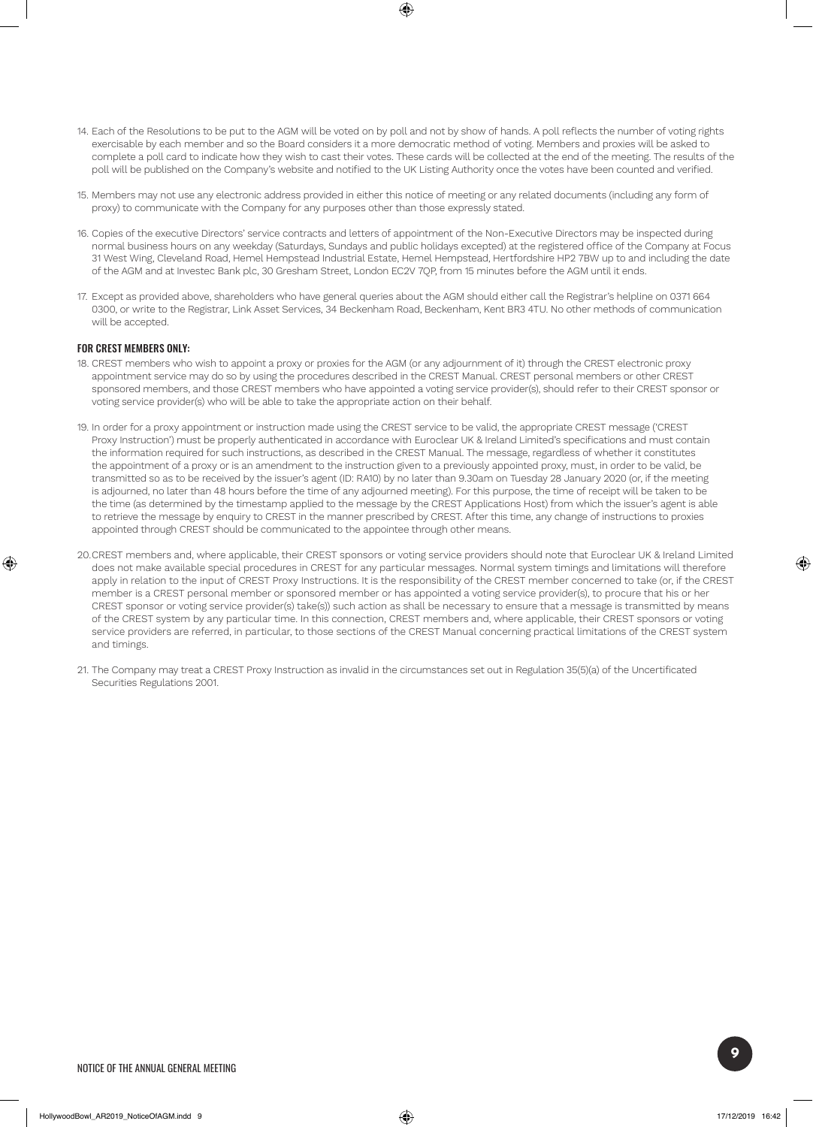- 14. Each of the Resolutions to be put to the AGM will be voted on by poll and not by show of hands. A poll reflects the number of voting rights exercisable by each member and so the Board considers it a more democratic method of voting. Members and proxies will be asked to complete a poll card to indicate how they wish to cast their votes. These cards will be collected at the end of the meeting. The results of the poll will be published on the Company's website and notified to the UK Listing Authority once the votes have been counted and verified.
- 15. Members may not use any electronic address provided in either this notice of meeting or any related documents (including any form of proxy) to communicate with the Company for any purposes other than those expressly stated.
- 16. Copies of the executive Directors' service contracts and letters of appointment of the Non-Executive Directors may be inspected during normal business hours on any weekday (Saturdays, Sundays and public holidays excepted) at the registered office of the Company at Focus 31 West Wing, Cleveland Road, Hemel Hempstead Industrial Estate, Hemel Hempstead, Hertfordshire HP2 7BW up to and including the date of the AGM and at Investec Bank plc, 30 Gresham Street, London EC2V 7QP, from 15 minutes before the AGM until it ends.
- 17. Except as provided above, shareholders who have general queries about the AGM should either call the Registrar's helpline on 0371 664 0300, or write to the Registrar, Link Asset Services, 34 Beckenham Road, Beckenham, Kent BR3 4TU. No other methods of communication will be accepted.

#### FOR CREST MEMBERS ONLY:

- 18. CREST members who wish to appoint a proxy or proxies for the AGM (or any adjournment of it) through the CREST electronic proxy appointment service may do so by using the procedures described in the CREST Manual. CREST personal members or other CREST sponsored members, and those CREST members who have appointed a voting service provider(s), should refer to their CREST sponsor or voting service provider(s) who will be able to take the appropriate action on their behalf.
- 19. In order for a proxy appointment or instruction made using the CREST service to be valid, the appropriate CREST message ('CREST Proxy Instruction') must be properly authenticated in accordance with Euroclear UK & Ireland Limited's specifications and must contain the information required for such instructions, as described in the CREST Manual. The message, regardless of whether it constitutes the appointment of a proxy or is an amendment to the instruction given to a previously appointed proxy, must, in order to be valid, be transmitted so as to be received by the issuer's agent (ID: RA10) by no later than 9.30am on Tuesday 28 January 2020 (or, if the meeting is adjourned, no later than 48 hours before the time of any adjourned meeting). For this purpose, the time of receipt will be taken to be the time (as determined by the timestamp applied to the message by the CREST Applications Host) from which the issuer's agent is able to retrieve the message by enquiry to CREST in the manner prescribed by CREST. After this time, any change of instructions to proxies appointed through CREST should be communicated to the appointee through other means.
- 20.CREST members and, where applicable, their CREST sponsors or voting service providers should note that Euroclear UK & Ireland Limited does not make available special procedures in CREST for any particular messages. Normal system timings and limitations will therefore apply in relation to the input of CREST Proxy Instructions. It is the responsibility of the CREST member concerned to take (or, if the CREST member is a CREST personal member or sponsored member or has appointed a voting service provider(s), to procure that his or her CREST sponsor or voting service provider(s) take(s)) such action as shall be necessary to ensure that a message is transmitted by means of the CREST system by any particular time. In this connection, CREST members and, where applicable, their CREST sponsors or voting service providers are referred, in particular, to those sections of the CREST Manual concerning practical limitations of the CREST system and timings.
- 21. The Company may treat a CREST Proxy Instruction as invalid in the circumstances set out in Regulation 35(5)(a) of the Uncertificated Securities Regulations 2001.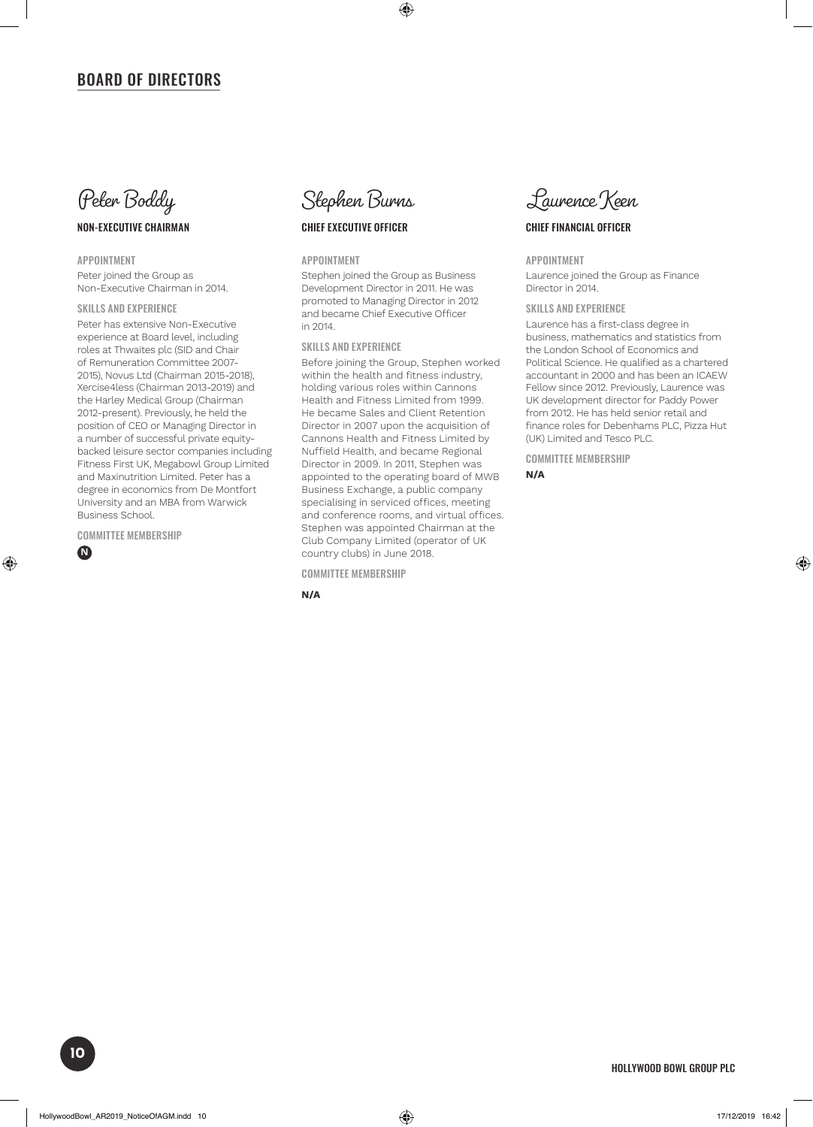## BOARD OF DIRECTORS



### NON-EXECUTIVE CHAIRMAN

APPOINTMENT

Peter joined the Group as Non-Executive Chairman in 2014.

#### SKILLS AND EXPERIENCE

Peter has extensive Non-Executive experience at Board level, including roles at Thwaites plc (SID and Chair of Remuneration Committee 2007- 2015), Novus Ltd (Chairman 2015-2018), Xercise4less (Chairman 2013-2019) and the Harley Medical Group (Chairman 2012-present). Previously, he held the position of CEO or Managing Director in a number of successful private equitybacked leisure sector companies including Fitness First UK, Megabowl Group Limited and Maxinutrition Limited. Peter has a degree in economics from De Montfort University and an MBA from Warwick Business School.

COMMITTEE MEMBERSHIP





### CHIEF EXECUTIVE OFFICER

#### APPOINTMENT

Stephen joined the Group as Business Development Director in 2011. He was promoted to Managing Director in 2012 and became Chief Executive Officer in 2014.

#### SKILLS AND EXPERIENCE

Before joining the Group, Stephen worked within the health and fitness industry, holding various roles within Cannons Health and Fitness Limited from 1999. He became Sales and Client Retention Director in 2007 upon the acquisition of Cannons Health and Fitness Limited by Nuffield Health, and became Regional Director in 2009. In 2011, Stephen was appointed to the operating board of MWB Business Exchange, a public company specialising in serviced offices, meeting and conference rooms, and virtual offices. Stephen was appointed Chairman at the Club Company Limited (operator of UK country clubs) in June 2018.

#### COMMITTEE MEMBERSHIP

**N/A**



#### CHIEF FINANCIAL OFFICER

#### APPOINTMENT

Laurence joined the Group as Finance Director in 2014.

#### SKILLS AND EXPERIENCE

Laurence has a first-class degree in business, mathematics and statistics from the London School of Economics and Political Science. He qualified as a chartered accountant in 2000 and has been an ICAEW Fellow since 2012. Previously, Laurence was UK development director for Paddy Power from 2012. He has held senior retail and finance roles for Debenhams PLC, Pizza Hut (UK) Limited and Tesco PLC.

COMMITTEE MEMBERSHIP

**N/A**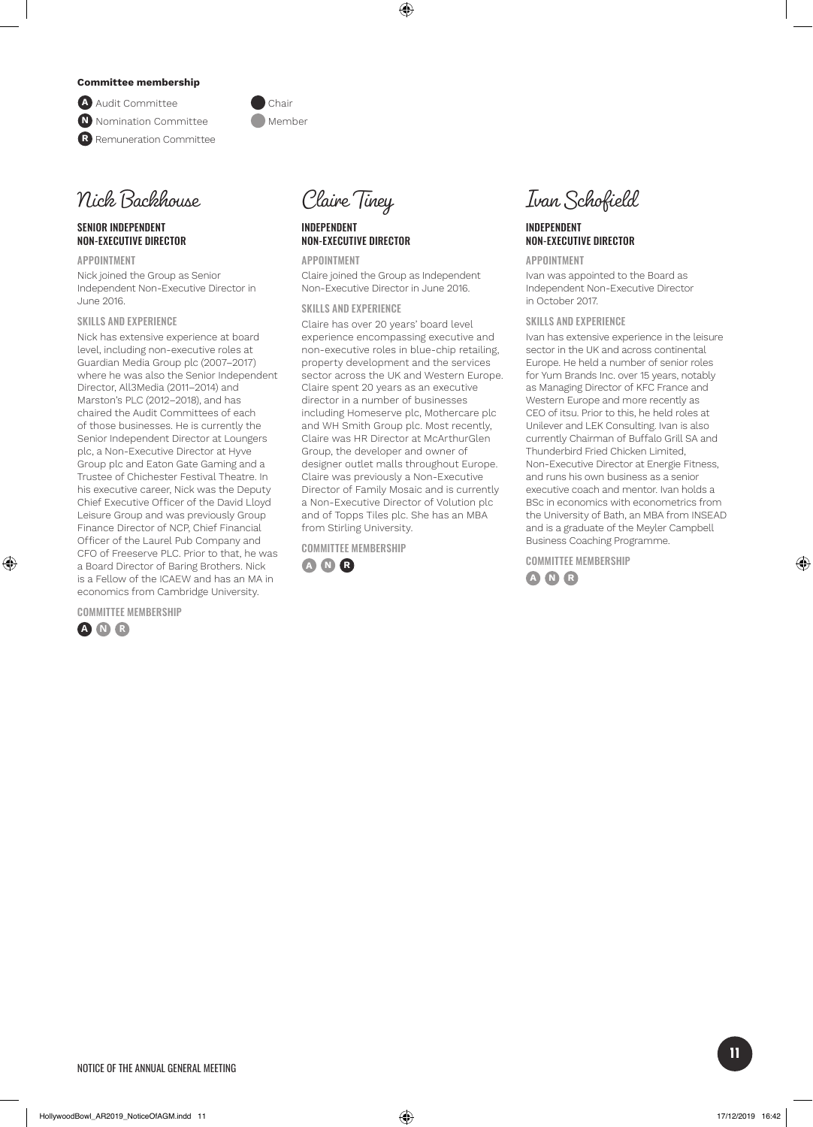#### **Committee membership**

**A** Audit Committee Chair **N** Nomination Committee **Manual** Member **R** Remuneration Committee



#### SENIOR INDEPENDENT NON-EXECUTIVE DIRECTOR

APPOINTMENT Nick joined the Group as Senior Independent Non-Executive Director in June 2016.

#### SKILLS AND EXPERIENCE

Nick has extensive experience at board level, including non-executive roles at Guardian Media Group plc (2007–2017) where he was also the Senior Independent Director, All3Media (2011–2014) and Marston's PLC (2012–2018), and has chaired the Audit Committees of each of those businesses. He is currently the Senior Independent Director at Loungers plc, a Non-Executive Director at Hyve Group plc and Eaton Gate Gaming and a Trustee of Chichester Festival Theatre. In his executive career, Nick was the Deputy Chief Executive Officer of the David Lloyd Leisure Group and was previously Group Finance Director of NCP, Chief Financial Officer of the Laurel Pub Company and CFO of Freeserve PLC. Prior to that, he was a Board Director of Baring Brothers. Nick is a Fellow of the ICAEW and has an MA in economics from Cambridge University.

COMMITTEE MEMBERSHIP





#### INDEPENDENT NON-EXECUTIVE DIRECTOR

APPOINTMENT Claire joined the Group as Independent Non-Executive Director in June 2016.

#### SKILLS AND EXPERIENCE

Claire has over 20 years' board level experience encompassing executive and non-executive roles in blue-chip retailing, property development and the services sector across the UK and Western Europe. Claire spent 20 years as an executive director in a number of businesses including Homeserve plc, Mothercare plc and WH Smith Group plc. Most recently, Claire was HR Director at McArthurGlen Group, the developer and owner of designer outlet malls throughout Europe. Claire was previously a Non-Executive Director of Family Mosaic and is currently a Non-Executive Director of Volution plc and of Topps Tiles plc. She has an MBA from Stirling University.

COMMITTEE MEMBERSHIP





#### INDEPENDENT NON-EXECUTIVE DIRECTOR

APPOINTMENT

Ivan was appointed to the Board as Independent Non-Executive Director in October 2017.

#### SKILLS AND EXPERIENCE

Ivan has extensive experience in the leisure sector in the UK and across continental Europe. He held a number of senior roles for Yum Brands Inc. over 15 years, notably as Managing Director of KFC France and Western Europe and more recently as CEO of itsu. Prior to this, he held roles at Unilever and LEK Consulting. Ivan is also currently Chairman of Buffalo Grill SA and Thunderbird Fried Chicken Limited, Non-Executive Director at Energie Fitness, and runs his own business as a senior executive coach and mentor. Ivan holds a BSc in economics with econometrics from the University of Bath, an MBA from INSEAD and is a graduate of the Meyler Campbell Business Coaching Programme.

COMMITTEE MEMBERSHIP **A N R**